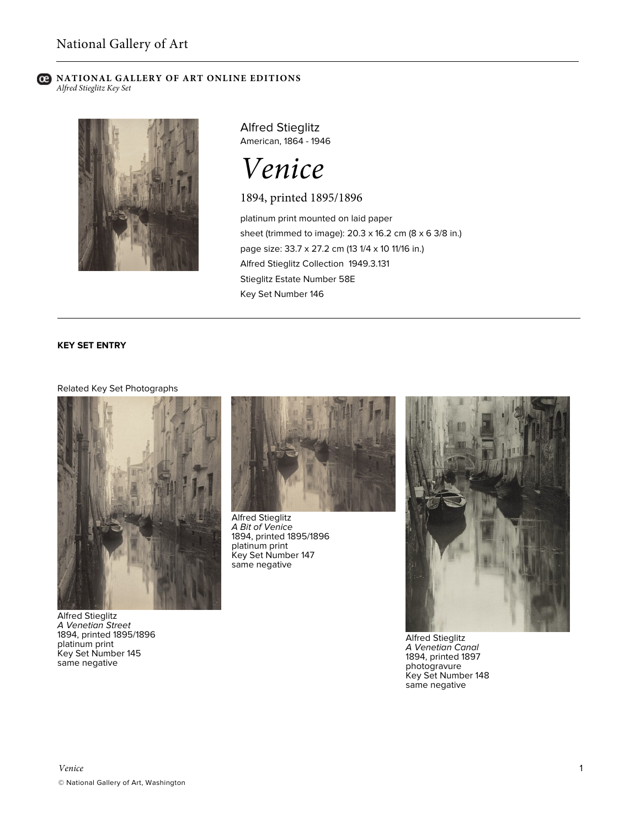### **C** NATIONAL GALLERY OF ART ONLINE EDITIONS *Alfred Stieglitz Key Set*



Alfred Stieglitz American, 1864 - 1946

*Venice*

1894, printed 1895/1896

platinum print mounted on laid paper sheet (trimmed to image): 20.3 x 16.2 cm (8 x 6 3/8 in.) page size: 33.7 x 27.2 cm (13 1/4 x 10 11/16 in.) Alfred Stieglitz Collection 1949.3.131 Stieglitz Estate Number 58E Key Set Number 146

# **KEY SET ENTRY**

## Related Key Set Photographs



Alfred Stieglitz *A Venetian Street* 1894, printed 1895/1896 platinum print Key Set Number 145 same negative



Alfred Stieglitz *A Bit of Venice* 1894, printed 1895/1896 platinum print Key Set Number 147 same negative



Alfred Stieglitz *A Venetian Canal* 1894, printed 1897 photogravure Key Set Number 148 same negative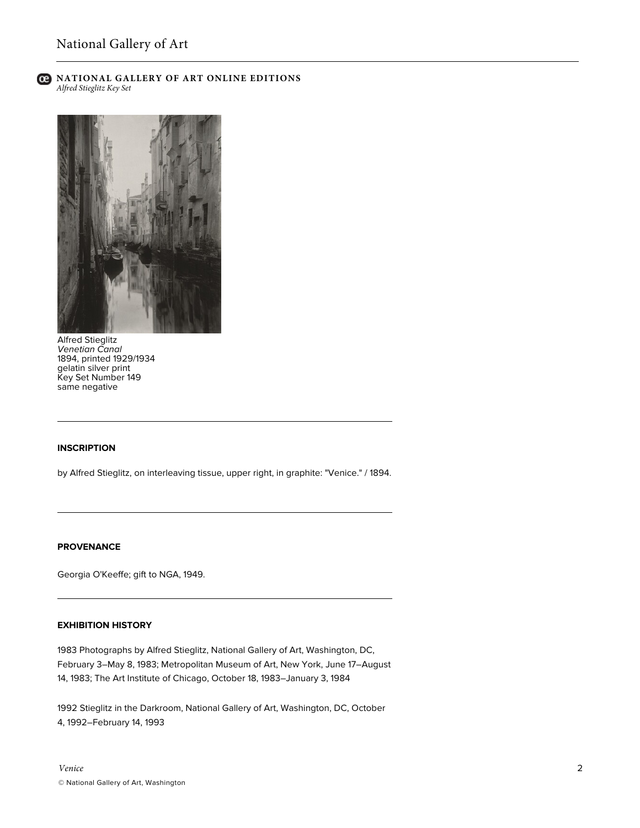

### **C** NATIONAL GALLERY OF ART ONLINE EDITIONS *Alfred Stieglitz Key Set*



Alfred Stieglitz *Venetian Canal* 1894, printed 1929/1934 gelatin silver print Key Set Number 149 same negative

## **INSCRIPTION**

by Alfred Stieglitz, on interleaving tissue, upper right, in graphite: "Venice." / 1894.

### **PROVENANCE**

Georgia O'Keeffe; gift to NGA, 1949.

### **EXHIBITION HISTORY**

1983 Photographs by Alfred Stieglitz, National Gallery of Art, Washington, DC, February 3–May 8, 1983; Metropolitan Museum of Art, New York, June 17–August 14, 1983; The Art Institute of Chicago, October 18, 1983–January 3, 1984

1992 Stieglitz in the Darkroom, National Gallery of Art, Washington, DC, October 4, 1992–February 14, 1993